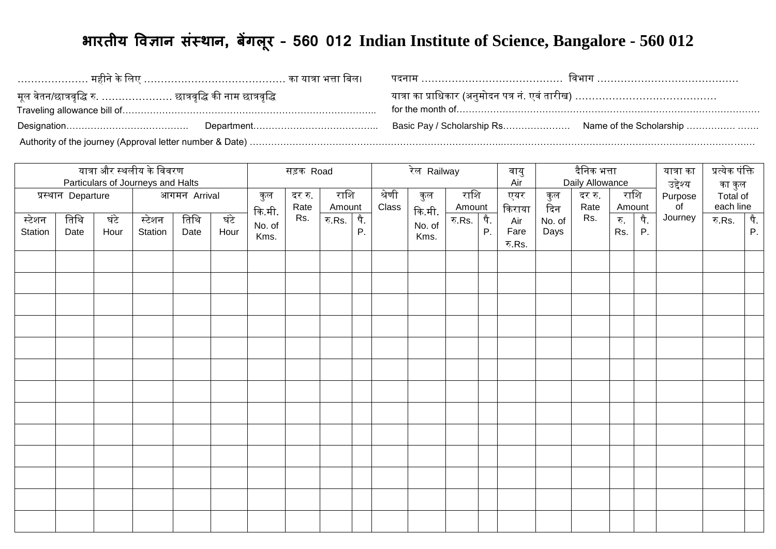## **भारतीय विज्ञान संस्थान, बेंगल ूर – 560 012 Indian Institute of Science, Bangalore - 560 012**

| मूल वेतन/छात्रवृद्धि रु. ………………… छात्रवृद्धि की नाम छात्रवृद्धि | यात्रा का प्राधिकार (अनुमोदन पत्र नं. एवं तारीख) ………………………………… |  |
|-----------------------------------------------------------------|----------------------------------------------------------------|--|
|                                                                 |                                                                |  |
|                                                                 |                                                                |  |

|                   | यात्रा और स्थलीय के विवरण<br>Particulars of Journeys and Halts |              |                   |              |              |                | सड़क Road      |                |           |                 | रेल Railway    |                |           | वायु<br>Air           |                | <u>दैनिक भत्ता</u><br>Daily Allowance |            |                | यात्रा का<br>उद्देश्य | प्रत्येक पंक्ति                 |           |
|-------------------|----------------------------------------------------------------|--------------|-------------------|--------------|--------------|----------------|----------------|----------------|-----------|-----------------|----------------|----------------|-----------|-----------------------|----------------|---------------------------------------|------------|----------------|-----------------------|---------------------------------|-----------|
|                   | प्रस्थान Departure                                             |              |                   | आगमन Arrival |              | कुल<br>कि.मी.  | दर रु.<br>Rate | राशि<br>Amount |           | श्रेणी<br>Class | कुल<br>कि.मी.  | राशि<br>Amount |           | एयर<br>किराया         | कुल<br>दिन     | दर रु.<br>Rate                        |            | राशि<br>Amount | Purpose<br>of         | का कुल<br>Total of<br>each line |           |
| स्टेशन<br>Station | तिथि<br>Date                                                   | घंटे<br>Hour | स्टेशन<br>Station | तिथि<br>Date | घंटे<br>Hour | No. of<br>Kms. | Rs.            | रु. $Rs.$      | पै.<br>P. |                 | No. of<br>Kms. | रु.Rs.         | पै.<br>Ρ. | Air<br>Fare<br>रु.Rs. | No. of<br>Days | Rs.                                   | रु.<br>Rs. | पै.<br>P.      | Journey               | रु.Rs.                          | पै.<br>P. |
|                   |                                                                |              |                   |              |              |                |                |                |           |                 |                |                |           |                       |                |                                       |            |                |                       |                                 |           |
|                   |                                                                |              |                   |              |              |                |                |                |           |                 |                |                |           |                       |                |                                       |            |                |                       |                                 |           |
|                   |                                                                |              |                   |              |              |                |                |                |           |                 |                |                |           |                       |                |                                       |            |                |                       |                                 |           |
|                   |                                                                |              |                   |              |              |                |                |                |           |                 |                |                |           |                       |                |                                       |            |                |                       |                                 |           |
|                   |                                                                |              |                   |              |              |                |                |                |           |                 |                |                |           |                       |                |                                       |            |                |                       |                                 |           |
|                   |                                                                |              |                   |              |              |                |                |                |           |                 |                |                |           |                       |                |                                       |            |                |                       |                                 |           |
|                   |                                                                |              |                   |              |              |                |                |                |           |                 |                |                |           |                       |                |                                       |            |                |                       |                                 |           |
|                   |                                                                |              |                   |              |              |                |                |                |           |                 |                |                |           |                       |                |                                       |            |                |                       |                                 |           |
|                   |                                                                |              |                   |              |              |                |                |                |           |                 |                |                |           |                       |                |                                       |            |                |                       |                                 |           |
|                   |                                                                |              |                   |              |              |                |                |                |           |                 |                |                |           |                       |                |                                       |            |                |                       |                                 |           |
|                   |                                                                |              |                   |              |              |                |                |                |           |                 |                |                |           |                       |                |                                       |            |                |                       |                                 |           |
|                   |                                                                |              |                   |              |              |                |                |                |           |                 |                |                |           |                       |                |                                       |            |                |                       |                                 |           |
|                   |                                                                |              |                   |              |              |                |                |                |           |                 |                |                |           |                       |                |                                       |            |                |                       |                                 |           |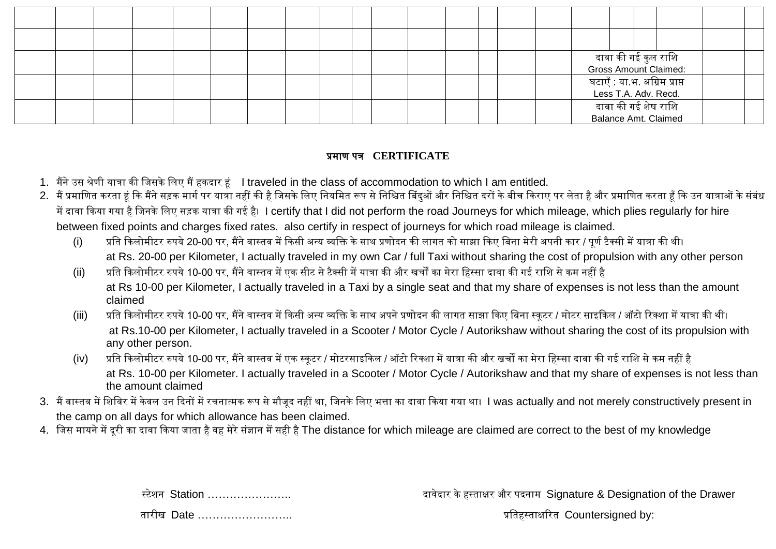|  |  |  |  |  |  |  |  |                                                      |                     |  | दावा की गई कुल राशि<br>Gross Amount Claimed: |  |
|--|--|--|--|--|--|--|--|------------------------------------------------------|---------------------|--|----------------------------------------------|--|
|  |  |  |  |  |  |  |  | घटाएँ : या.भ. अग्रिम प्राप्त<br>Less T.A. Adv. Recd. |                     |  |                                              |  |
|  |  |  |  |  |  |  |  |                                                      | दावा की गई शेष राशि |  | Balance Amt. Claimed                         |  |

## प्रमाण पत्र **CERTIFICATE**

- 1. मैंनेउस श्रेणी यात्रा की लिसके लिए मैंहकदार हं I traveled in the class of accommodation to which I am entitled.
- 2. मैं प्रमाणित करता हूं कि मैंने सड़क मार्ग पर यात्रा नहीं की है जिसके लिए नियमित ल्या आर निश्चित दरों के बीच किराए पर लेता है और प्रमाणित करता हूँ कि उन यात्राओं के संबंध में दावा किया गया है जिनके लिए सड़क यात्रा की गई है। I certify that I did not perform the road Journeys for which mileage, which plies regularly for hire between fixed points and charges fixed rates. also certify in respect of journeys for which road mileage is claimed.
	- (i) प्रति किलोमीटर रुपये 20-00 पर, मैंने वास्तव में किसी अन्य व्यक्ति के साथ प्रणोदन की लागत को साझा किए बिना मेरी अपनी कार / पूर्ण टैक्सी में यात्रा की थी। at Rs. 20-00 per Kilometer, I actually traveled in my own Car / full Taxi without sharing the cost of propulsion with any other person
	- (ii) प्रलत ककिोमीटर रुपये10-00 पर, मैंनेवास्तव मेंएक सीट सेटैक्सी मेंयात्रा की और खचों का मेरा लहस्सा दावा की गई रालि सेकम नहीं है at Rs 10-00 per Kilometer, I actually traveled in a Taxi by a single seat and that my share of expenses is not less than the amount claimed
	- (iii) प्रति किलोमीटर रुपये 10-00 पर, मैंने वास्तव में किसी अन्य व्यक्ति के साथ अपने प्रणोदन की लागत साझा किए बिना स्कूटर / मोटर साइकिल / ऑटो रिक्शा में यात्रा की थी। at Rs.10-00 per Kilometer, I actually traveled in a Scooter / Motor Cycle / Autorikshaw without sharing the cost of its propulsion with any other person.
	- (iv) प्रति किलोमीटर रुपये 10-00 पर, मैंने वास्तव में एक स्कूटर / मोटरसाइकिल / ऑटो रिक्शा में यात्रा की मेरा मेरा हिस्सा दावा की गई राशि से कम नहीं है at Rs. 10-00 per Kilometer. I actually traveled in a Scooter / Motor Cycle / Autorikshaw and that my share of expenses is not less than the amount claimed
- 3. मैं वास्तव में शिविर में केवल उन दिनों में रचनात्मक रूप से मौजूद नहीं था, जिनके लिए भत्ता का दावा किया गया था। I was actually and not merely constructively present in the camp on all days for which allowance has been claimed.
- 4. जिस मायने में दूरी का दावा किया जाता है वह मेरे संज्ञान में सही है The distance for which mileage are claimed are correct to the best of my knowledge

स्टेिन Station ………………….. दावेदार केहस्ताक्षर और पदनाम Signature & Designation of the Drawer

तारीख Date …………………….. प्रलतहस्ताक्षररत Countersigned by: